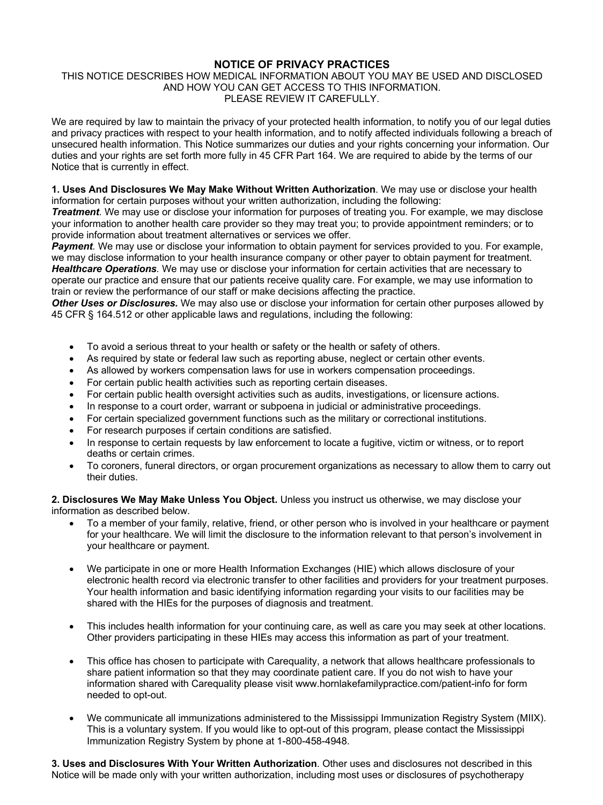## **NOTICE OF PRIVACY PRACTICES**

## THIS NOTICE DESCRIBES HOW MEDICAL INFORMATION ABOUT YOU MAY BE USED AND DISCLOSED AND HOW YOU CAN GET ACCESS TO THIS INFORMATION. PLEASE REVIEW IT CAREFULLY.

We are required by law to maintain the privacy of your protected health information, to notify you of our legal duties and privacy practices with respect to your health information, and to notify affected individuals following a breach of unsecured health information. This Notice summarizes our duties and your rights concerning your information. Our duties and your rights are set forth more fully in 45 CFR Part 164. We are required to abide by the terms of our Notice that is currently in effect.

**1. Uses And Disclosures We May Make Without Written Authorization**. We may use or disclose your health information for certain purposes without your written authorization, including the following:

*Treatment.* We may use or disclose your information for purposes of treating you. For example, we may disclose your information to another health care provider so they may treat you; to provide appointment reminders; or to provide information about treatment alternatives or services we offer.

*Payment.* We may use or disclose your information to obtain payment for services provided to you. For example, we may disclose information to your health insurance company or other payer to obtain payment for treatment. *Healthcare Operations.* We may use or disclose your information for certain activities that are necessary to operate our practice and ensure that our patients receive quality care. For example, we may use information to train or review the performance of our staff or make decisions affecting the practice.

*Other Uses or Disclosures.* We may also use or disclose your information for certain other purposes allowed by 45 CFR § 164.512 or other applicable laws and regulations, including the following:

- To avoid a serious threat to your health or safety or the health or safety of others.
- As required by state or federal law such as reporting abuse, neglect or certain other events.
- As allowed by workers compensation laws for use in workers compensation proceedings.
- For certain public health activities such as reporting certain diseases.
- For certain public health oversight activities such as audits, investigations, or licensure actions.
- In response to a court order, warrant or subpoena in judicial or administrative proceedings.
- For certain specialized government functions such as the military or correctional institutions.
- For research purposes if certain conditions are satisfied.
- In response to certain requests by law enforcement to locate a fugitive, victim or witness, or to report deaths or certain crimes.
- To coroners, funeral directors, or organ procurement organizations as necessary to allow them to carry out their duties.

**2. Disclosures We May Make Unless You Object.** Unless you instruct us otherwise, we may disclose your information as described below.

- To a member of your family, relative, friend, or other person who is involved in your healthcare or payment for your healthcare. We will limit the disclosure to the information relevant to that person's involvement in your healthcare or payment.
- We participate in one or more Health Information Exchanges (HIE) which allows disclosure of your electronic health record via electronic transfer to other facilities and providers for your treatment purposes. Your health information and basic identifying information regarding your visits to our facilities may be shared with the HIEs for the purposes of diagnosis and treatment.
- This includes health information for your continuing care, as well as care you may seek at other locations. Other providers participating in these HIEs may access this information as part of your treatment.
- This office has chosen to participate with Carequality, a network that allows healthcare professionals to share patient information so that they may coordinate patient care. If you do not wish to have your information shared with Carequality please visit www.hornlakefamilypractice.com/patient-info for form needed to opt-out.
- We communicate all immunizations administered to the Mississippi Immunization Registry System (MIIX). This is a voluntary system. If you would like to opt-out of this program, please contact the Mississippi Immunization Registry System by phone at 1-800-458-4948.

**3. Uses and Disclosures With Your Written Authorization**. Other uses and disclosures not described in this Notice will be made only with your written authorization, including most uses or disclosures of psychotherapy